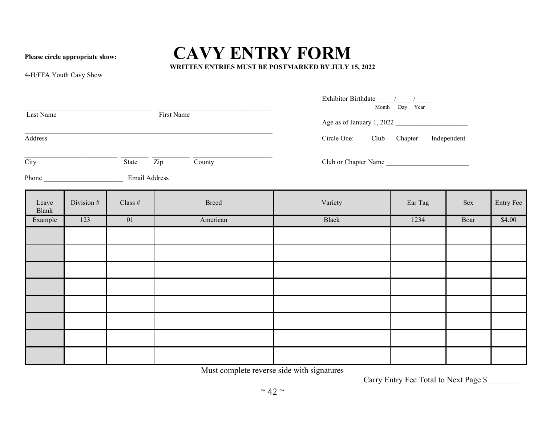## **Please circle appropriate show: CAVY ENTRY FORM WRITTEN ENTRIES MUST BE POSTMARKED BY JULY 15, 2022**

4-H/FFA Youth Cavy Show

| Last Name<br>Address     |            |           | First Name                                                                    | $\frac{\mbox{Exhibitor Birthdate}\xrightarrow{\mbox{Month}}\n }{\mbox{Month}}\n \frac{\mbox{$\displaystyle /$}}{\mbox{Day}}\n \frac{\mbox{Year}}{\mbox{Year}}$<br>Age as of January 1, 2022<br>Circle One: Club Chapter Independent |         |      |           |  |
|--------------------------|------------|-----------|-------------------------------------------------------------------------------|-------------------------------------------------------------------------------------------------------------------------------------------------------------------------------------------------------------------------------------|---------|------|-----------|--|
| $\overline{\text{City}}$ |            |           | $\overline{\text{State}}$ $\overline{\text{Zip}}$ $\overline{\text{Country}}$ | Club or Chapter Name                                                                                                                                                                                                                |         |      |           |  |
|                          |            |           |                                                                               |                                                                                                                                                                                                                                     |         |      |           |  |
| Leave<br>Blank           | Division # | Class $#$ | <b>Breed</b>                                                                  | Variety                                                                                                                                                                                                                             | Ear Tag | Sex  | Entry Fee |  |
| Example                  | 123        | 01        | American                                                                      | Black                                                                                                                                                                                                                               | 1234    | Boar | \$4.00    |  |
|                          |            |           |                                                                               |                                                                                                                                                                                                                                     |         |      |           |  |
|                          |            |           |                                                                               |                                                                                                                                                                                                                                     |         |      |           |  |
|                          |            |           |                                                                               |                                                                                                                                                                                                                                     |         |      |           |  |
|                          |            |           |                                                                               |                                                                                                                                                                                                                                     |         |      |           |  |
|                          |            |           |                                                                               |                                                                                                                                                                                                                                     |         |      |           |  |
|                          |            |           |                                                                               |                                                                                                                                                                                                                                     |         |      |           |  |
|                          |            |           |                                                                               |                                                                                                                                                                                                                                     |         |      |           |  |
|                          |            |           |                                                                               |                                                                                                                                                                                                                                     |         |      |           |  |

Must complete reverse side with signatures

Carry Entry Fee Total to Next Page \$\_\_\_\_\_\_\_\_